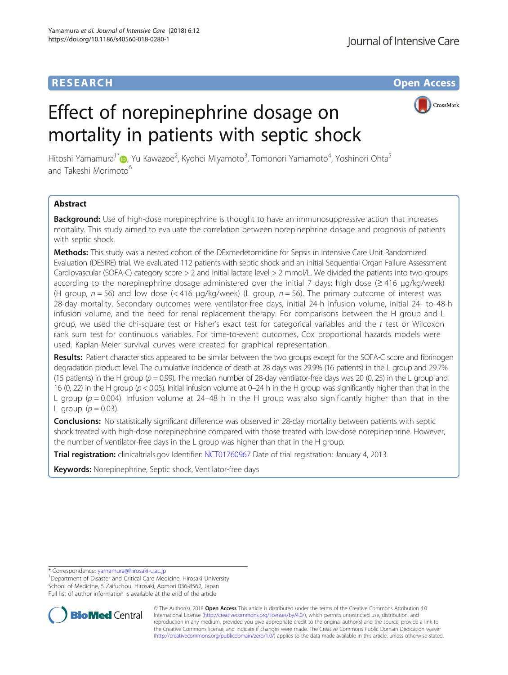## **RESEARCH CHE Open Access**

# Effect of norepinephrine dosage on mortality in patients with septic shock



Hitoshi Yamamura<sup>1[\\*](http://orcid.org/0000-0003-1903-4879)</sup>�, Yu Kawazoe<sup>2</sup>, Kyohei Miyamoto<sup>3</sup>, Tomonori Yamamoto<sup>4</sup>, Yoshinori Ohta<sup>5</sup> and Takeshi Morimoto<sup>6</sup>

## Abstract

**Background:** Use of high-dose norepinephrine is thought to have an immunosuppressive action that increases mortality. This study aimed to evaluate the correlation between norepinephrine dosage and prognosis of patients with septic shock.

Methods: This study was a nested cohort of the DExmedetomidine for Sepsis in Intensive Care Unit Randomized Evaluation (DESIRE) trial. We evaluated 112 patients with septic shock and an initial Sequential Organ Failure Assessment Cardiovascular (SOFA-C) category score > 2 and initial lactate level > 2 mmol/L. We divided the patients into two groups according to the norepinephrine dosage administered over the initial 7 days: high dose (≥ 416 μg/kg/week) (H group,  $n = 56$ ) and low dose (< 416 µg/kg/week) (L group,  $n = 56$ ). The primary outcome of interest was 28-day mortality. Secondary outcomes were ventilator-free days, initial 24-h infusion volume, initial 24- to 48-h infusion volume, and the need for renal replacement therapy. For comparisons between the H group and L group, we used the chi-square test or Fisher's exact test for categorical variables and the  $t$  test or Wilcoxon rank sum test for continuous variables. For time-to-event outcomes, Cox proportional hazards models were used. Kaplan-Meier survival curves were created for graphical representation.

Results: Patient characteristics appeared to be similar between the two groups except for the SOFA-C score and fibrinogen degradation product level. The cumulative incidence of death at 28 days was 29.9% (16 patients) in the L group and 29.7% (15 patients) in the H group ( $p = 0.99$ ). The median number of 28-day ventilator-free days was 20 (0, 25) in the L group and 16 (0, 22) in the H group ( $p < 0.05$ ). Initial infusion volume at 0–24 h in the H group was significantly higher than that in the L group ( $p = 0.004$ ). Infusion volume at 24–48 h in the H group was also significantly higher than that in the L group  $(p = 0.03)$ .

**Conclusions:** No statistically significant difference was observed in 28-day mortality between patients with septic shock treated with high-dose norepinephrine compared with those treated with low-dose norepinephrine. However, the number of ventilator-free days in the L group was higher than that in the H group.

Trial registration: clinicaltrials.gov Identifier: [NCT01760967](https://clinicaltrials.gov/ct2/show/NCT01760967) Date of trial registration: January 4, 2013.

Keywords: Norepinephrine, Septic shock, Ventilator-free days

\* Correspondence: [yamamura@hirosaki-u.ac.jp](mailto:yamamura@hirosaki-u.ac.jp) <sup>1</sup>

<sup>1</sup>Department of Disaster and Critical Care Medicine, Hirosaki University School of Medicine, 5 Zaifuchou, Hirosaki, Aomori 036-8562, Japan Full list of author information is available at the end of the article



© The Author(s). 2018 Open Access This article is distributed under the terms of the Creative Commons Attribution 4.0 International License [\(http://creativecommons.org/licenses/by/4.0/](http://creativecommons.org/licenses/by/4.0/)), which permits unrestricted use, distribution, and reproduction in any medium, provided you give appropriate credit to the original author(s) and the source, provide a link to the Creative Commons license, and indicate if changes were made. The Creative Commons Public Domain Dedication waiver [\(http://creativecommons.org/publicdomain/zero/1.0/](http://creativecommons.org/publicdomain/zero/1.0/)) applies to the data made available in this article, unless otherwise stated.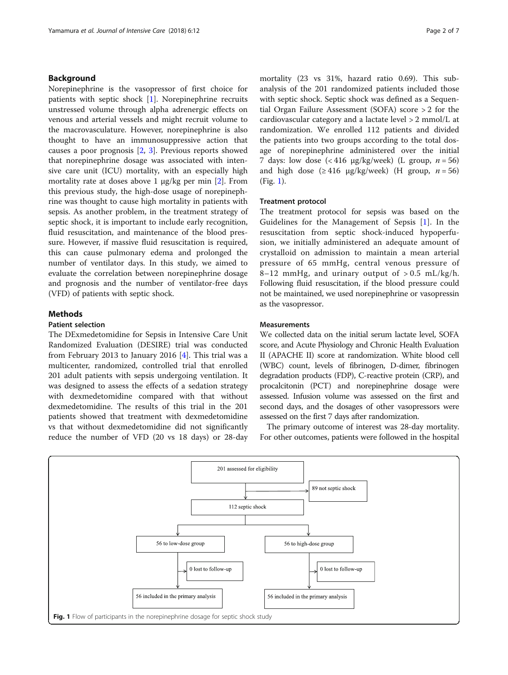## Background

Norepinephrine is the vasopressor of first choice for patients with septic shock [\[1](#page-5-0)]. Norepinephrine recruits unstressed volume through alpha adrenergic effects on venous and arterial vessels and might recruit volume to the macrovasculature. However, norepinephrine is also thought to have an immunosuppressive action that causes a poor prognosis [[2,](#page-5-0) [3](#page-5-0)]. Previous reports showed that norepinephrine dosage was associated with intensive care unit (ICU) mortality, with an especially high mortality rate at doses above 1  $\mu$ g/kg per min [[2\]](#page-5-0). From this previous study, the high-dose usage of norepinephrine was thought to cause high mortality in patients with sepsis. As another problem, in the treatment strategy of septic shock, it is important to include early recognition, fluid resuscitation, and maintenance of the blood pressure. However, if massive fluid resuscitation is required, this can cause pulmonary edema and prolonged the number of ventilator days. In this study, we aimed to evaluate the correlation between norepinephrine dosage and prognosis and the number of ventilator-free days (VFD) of patients with septic shock.

## **Methods**

## Patient selection

The DExmedetomidine for Sepsis in Intensive Care Unit Randomized Evaluation (DESIRE) trial was conducted from February 2013 to January 2016 [\[4](#page-5-0)]. This trial was a multicenter, randomized, controlled trial that enrolled 201 adult patients with sepsis undergoing ventilation. It was designed to assess the effects of a sedation strategy with dexmedetomidine compared with that without dexmedetomidine. The results of this trial in the 201 patients showed that treatment with dexmedetomidine vs that without dexmedetomidine did not significantly reduce the number of VFD (20 vs 18 days) or 28-day mortality (23 vs 31%, hazard ratio 0.69). This subanalysis of the 201 randomized patients included those with septic shock. Septic shock was defined as a Sequential Organ Failure Assessment (SOFA) score > 2 for the cardiovascular category and a lactate level > 2 mmol/L at randomization. We enrolled 112 patients and divided the patients into two groups according to the total dosage of norepinephrine administered over the initial 7 days: low dose  $\left(\frac{416 \text{ µg}}{\text{kg}}\right)$  (L group,  $n = 56$ ) and high dose  $(\geq 416 \text{ µg/kg/week})$  (H group,  $n = 56$ ) (Fig. 1).

## Treatment protocol

The treatment protocol for sepsis was based on the Guidelines for the Management of Sepsis [[1\]](#page-5-0). In the resuscitation from septic shock-induced hypoperfusion, we initially administered an adequate amount of crystalloid on admission to maintain a mean arterial pressure of 65 mmHg, central venous pressure of 8–12 mmHg, and urinary output of  $> 0.5$  mL/kg/h. Following fluid resuscitation, if the blood pressure could not be maintained, we used norepinephrine or vasopressin as the vasopressor.

#### **Measurements**

We collected data on the initial serum lactate level, SOFA score, and Acute Physiology and Chronic Health Evaluation II (APACHE II) score at randomization. White blood cell (WBC) count, levels of fibrinogen, D-dimer, fibrinogen degradation products (FDP), C-reactive protein (CRP), and procalcitonin (PCT) and norepinephrine dosage were assessed. Infusion volume was assessed on the first and second days, and the dosages of other vasopressors were assessed on the first 7 days after randomization.

The primary outcome of interest was 28-day mortality. For other outcomes, patients were followed in the hospital

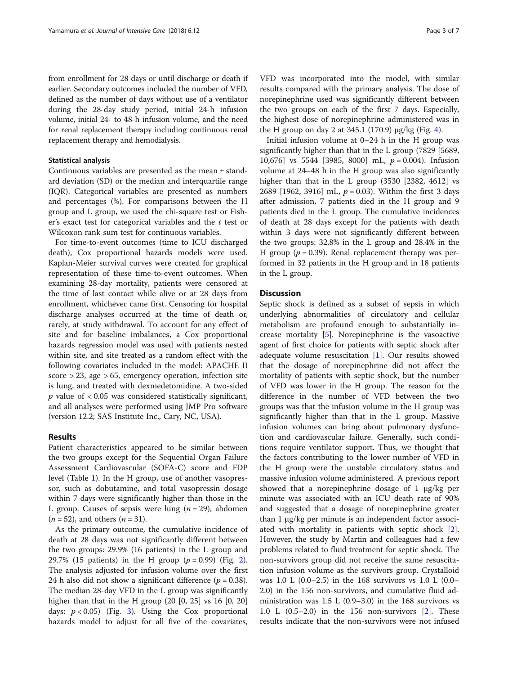from enrollment for 28 days or until discharge or death if earlier. Secondary outcomes included the number of VFD, defined as the number of days without use of a ventilator during the 28-day study period, initial 24-h infusion volume, initial 24- to 48-h infusion volume, and the need for renal replacement therapy including continuous renal replacement therapy and hemodialysis.

## Statistical analysis

Continuous variables are presented as the mean ± standard deviation (SD) or the median and interquartile range (IQR). Categorical variables are presented as numbers and percentages (%). For comparisons between the H group and L group, we used the chi-square test or Fisher's exact test for categorical variables and the  $t$  test or Wilcoxon rank sum test for continuous variables.

For time-to-event outcomes (time to ICU discharged death), Cox proportional hazards models were used. Kaplan-Meier survival curves were created for graphical representation of these time-to-event outcomes. When examining 28-day mortality, patients were censored at the time of last contact while alive or at 28 days from enrollment, whichever came first. Censoring for hospital discharge analyses occurred at the time of death or, rarely, at study withdrawal. To account for any effect of site and for baseline imbalances, a Cox proportional hazards regression model was used with patients nested within site, and site treated as a random effect with the following covariates included in the model: APACHE II score > 23, age > 65, emergency operation, infection site is lung, and treated with dexmedetomidine. A two-sided  $p$  value of  $<0.05$  was considered statistically significant, and all analyses were performed using JMP Pro software (version 12.2; SAS Institute Inc., Cary, NC, USA).

## Results

Patient characteristics appeared to be similar between the two groups except for the Sequential Organ Failure Assessment Cardiovascular (SOFA-C) score and FDP level (Table [1\)](#page-3-0). In the H group, use of another vasopressor, such as dobutamine, and total vasopressin dosage within 7 days were significantly higher than those in the L group. Causes of sepsis were lung ( $n = 29$ ), abdomen  $(n = 52)$ , and others  $(n = 31)$ .

As the primary outcome, the cumulative incidence of death at 28 days was not significantly different between the two groups: 29.9% (16 patients) in the L group and [2](#page-4-0)9.7% (15 patients) in the H group ( $p = 0.99$ ) (Fig. 2). The analysis adjusted for infusion volume over the first 24 h also did not show a significant difference  $(p = 0.38)$ . The median 28-day VFD in the L group was significantly higher than that in the H group (20 [0, 25] vs 16 [0, 20] days:  $p < 0.05$ ) (Fig. [3\)](#page-4-0). Using the Cox proportional hazards model to adjust for all five of the covariates,

VFD was incorporated into the model, with similar results compared with the primary analysis. The dose of norepinephrine used was significantly different between the two groups on each of the first 7 days. Especially, the highest dose of norepinephrine administered was in the H group on day 2 at 3[4](#page-4-0)5.1 (170.9)  $\mu$ g/kg (Fig. 4).

Initial infusion volume at 0–24 h in the H group was significantly higher than that in the L group (7829 [5689, 10,676] vs 5544 [3985, 8000] mL,  $p = 0.004$ ). Infusion volume at 24–48 h in the H group was also significantly higher than that in the L group (3530 [2382, 4612] vs 2689 [1962, 3916] mL,  $p = 0.03$ ). Within the first 3 days after admission, 7 patients died in the H group and 9 patients died in the L group. The cumulative incidences of death at 28 days except for the patients with death within 3 days were not significantly different between the two groups: 32.8% in the L group and 28.4% in the H group ( $p = 0.39$ ). Renal replacement therapy was performed in 32 patients in the H group and in 18 patients in the L group.

## **Discussion**

Septic shock is defined as a subset of sepsis in which underlying abnormalities of circulatory and cellular metabolism are profound enough to substantially increase mortality [\[5](#page-5-0)]. Norepinephrine is the vasoactive agent of first choice for patients with septic shock after adequate volume resuscitation [\[1](#page-5-0)]. Our results showed that the dosage of norepinephrine did not affect the mortality of patients with septic shock, but the number of VFD was lower in the H group. The reason for the difference in the number of VFD between the two groups was that the infusion volume in the H group was significantly higher than that in the L group. Massive infusion volumes can bring about pulmonary dysfunction and cardiovascular failure. Generally, such conditions require ventilator support. Thus, we thought that the factors contributing to the lower number of VFD in the H group were the unstable circulatory status and massive infusion volume administered. A previous report showed that a norepinephrine dosage of 1 μg/kg per minute was associated with an ICU death rate of 90% and suggested that a dosage of norepinephrine greater than 1 μg/kg per minute is an independent factor associated with mortality in patients with septic shock [\[2](#page-5-0)]. However, the study by Martin and colleagues had a few problems related to fluid treatment for septic shock. The non-survivors group did not receive the same resuscitation infusion volume as the survivors group. Crystalloid was 1.0 L (0.0–2.5) in the 168 survivors vs 1.0 L (0.0– 2.0) in the 156 non-survivors, and cumulative fluid administration was 1.5 L (0.9–3.0) in the 168 survivors vs 1.0 L (0.5–2.0) in the 156 non-survivors [[2\]](#page-5-0). These results indicate that the non-survivors were not infused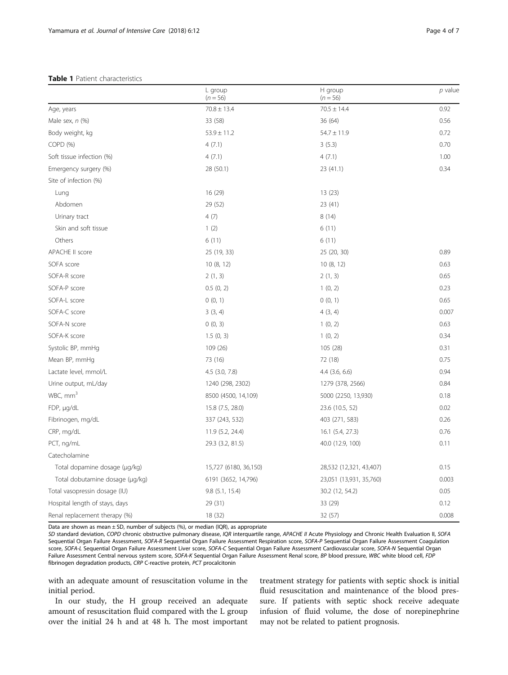#### <span id="page-3-0"></span>Table 1 Patient characteristics

|                                 | L group<br>$(n = 56)$ | H group<br>$(n = 56)$   | $p$ value |
|---------------------------------|-----------------------|-------------------------|-----------|
| Age, years                      | $70.8 \pm 13.4$       | $70.5 \pm 14.4$         | 0.92      |
| Male sex, $n$ (%)               | 33 (58)               | 36(64)                  | 0.56      |
| Body weight, kg                 | $53.9 \pm 11.2$       | $54.7 \pm 11.9$         | 0.72      |
| COPD (%)                        | 4(7.1)                | 3(5.3)                  | 0.70      |
| Soft tissue infection (%)       | 4(7.1)                | 4(7.1)                  | 1.00      |
| Emergency surgery (%)           | 28 (50.1)             | 23 (41.1)               | 0.34      |
| Site of infection (%)           |                       |                         |           |
| Lung                            | 16 (29)               | 13(23)                  |           |
| Abdomen                         | 29 (52)               | 23 (41)                 |           |
| Urinary tract                   | 4(7)                  | 8(14)                   |           |
| Skin and soft tissue            | 1(2)                  | 6(11)                   |           |
| Others                          | 6(11)                 | 6(11)                   |           |
| <b>APACHE II score</b>          | 25 (19, 33)           | 25 (20, 30)             | 0.89      |
| SOFA score                      | 10(8, 12)             | 10(8, 12)               | 0.63      |
| SOFA-R score                    | 2(1, 3)               | 2(1, 3)                 | 0.65      |
| SOFA-P score                    | 0.5(0, 2)             | 1(0, 2)                 | 0.23      |
| SOFA-L score                    | 0(0, 1)               | 0(0, 1)                 | 0.65      |
| SOFA-C score                    | 3(3, 4)               | 4(3, 4)                 | 0.007     |
| SOFA-N score                    | 0(0, 3)               | 1(0, 2)                 | 0.63      |
| SOFA-K score                    | 1.5(0, 3)             | 1(0, 2)                 | 0.34      |
| Systolic BP, mmHg               | 109 (26)              | 105 (28)                | 0.31      |
| Mean BP, mmHq                   | 73 (16)               | 72 (18)                 | 0.75      |
| Lactate level, mmol/L           | $4.5$ $(3.0, 7.8)$    | $4.4$ $(3.6, 6.6)$      | 0.94      |
| Urine output, mL/day            | 1240 (298, 2302)      | 1279 (378, 2566)        | 0.84      |
| WBC, mm <sup>3</sup>            | 8500 (4500, 14,109)   | 5000 (2250, 13,930)     | 0.18      |
| FDP, µg/dL                      | 15.8 (7.5, 28.0)      | 23.6 (10.5, 52)         | 0.02      |
| Fibrinogen, mg/dL               | 337 (243, 532)        | 403 (271, 583)          | 0.26      |
| CRP, mg/dL                      | 11.9 (5.2, 24.4)      | 16.1 (5.4, 27.3)        | 0.76      |
| PCT, ng/mL                      | 29.3 (3.2, 81.5)      | 40.0 (12.9, 100)        | 0.11      |
| Catecholamine                   |                       |                         |           |
| Total dopamine dosage (µg/kg)   | 15,727 (6180, 36,150) | 28,532 (12,321, 43,407) | 0.15      |
| Total dobutamine dosage (µg/kg) | 6191 (3652, 14,796)   | 23,051 (13,931, 35,760) | 0.003     |
| Total vasopressin dosage (IU)   | $9.8$ (5.1, 15.4)     | 30.2 (12, 54.2)         | 0.05      |
| Hospital length of stays, days  | 29 (31)               | 33 (29)                 | 0.12      |
| Renal replacement therapy (%)   | 18 (32)               | 32 (57)                 | 0.008     |

Data are shown as mean  $\pm$  SD, number of subjects (%), or median (IQR), as appropriate

SD standard deviation, COPD chronic obstructive pulmonary disease, IQR interquartile range, APACHE II Acute Physiology and Chronic Health Evaluation II, SOFA Sequential Organ Failure Assessment, SOFA-R Sequential Organ Failure Assessment Respiration score, SOFA-P Sequential Organ Failure Assessment Coagulation score, SOFA-L Sequential Organ Failure Assessment Liver score, SOFA-C Sequential Organ Failure Assessment Cardiovascular score, SOFA-N Sequential Organ Failure Assessment Central nervous system score, SOFA-K Sequential Organ Failure Assessment Renal score, BP blood pressure, WBC white blood cell, FDP fibrinogen degradation products, CRP C-reactive protein, PCT procalcitonin

with an adequate amount of resuscitation volume in the initial period.

In our study, the H group received an adequate amount of resuscitation fluid compared with the L group over the initial 24 h and at 48 h. The most important

treatment strategy for patients with septic shock is initial fluid resuscitation and maintenance of the blood pressure. If patients with septic shock receive adequate infusion of fluid volume, the dose of norepinephrine may not be related to patient prognosis.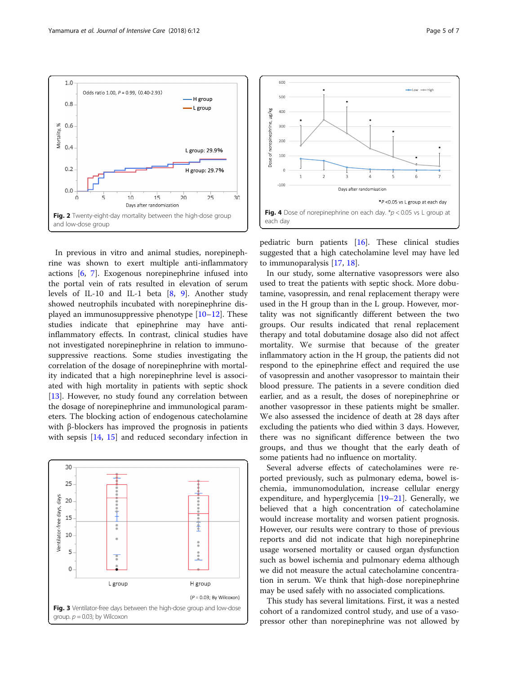

<span id="page-4-0"></span>

In previous in vitro and animal studies, norepinephrine was shown to exert multiple anti-inflammatory actions [[6,](#page-5-0) [7](#page-5-0)]. Exogenous norepinephrine infused into the portal vein of rats resulted in elevation of serum levels of IL-10 and IL-1 beta [[8,](#page-5-0) [9\]](#page-5-0). Another study showed neutrophils incubated with norepinephrine displayed an immunosuppressive phenotype  $[10-12]$  $[10-12]$  $[10-12]$ . These studies indicate that epinephrine may have antiinflammatory effects. In contrast, clinical studies have not investigated norepinephrine in relation to immunosuppressive reactions. Some studies investigating the correlation of the dosage of norepinephrine with mortality indicated that a high norepinephrine level is associated with high mortality in patients with septic shock [[13\]](#page-6-0). However, no study found any correlation between the dosage of norepinephrine and immunological parameters. The blocking action of endogenous catecholamine with β-blockers has improved the prognosis in patients with sepsis [\[14](#page-6-0), [15\]](#page-6-0) and reduced secondary infection in





pediatric burn patients [[16](#page-6-0)]. These clinical studies suggested that a high catecholamine level may have led to immunoparalysis [[17](#page-6-0), [18](#page-6-0)].

In our study, some alternative vasopressors were also used to treat the patients with septic shock. More dobutamine, vasopressin, and renal replacement therapy were used in the H group than in the L group. However, mortality was not significantly different between the two groups. Our results indicated that renal replacement therapy and total dobutamine dosage also did not affect mortality. We surmise that because of the greater inflammatory action in the H group, the patients did not respond to the epinephrine effect and required the use of vasopressin and another vasopressor to maintain their blood pressure. The patients in a severe condition died earlier, and as a result, the doses of norepinephrine or another vasopressor in these patients might be smaller. We also assessed the incidence of death at 28 days after excluding the patients who died within 3 days. However, there was no significant difference between the two groups, and thus we thought that the early death of some patients had no influence on mortality.

Several adverse effects of catecholamines were reported previously, such as pulmonary edema, bowel ischemia, immunomodulation, increase cellular energy expenditure, and hyperglycemia  $[19-21]$  $[19-21]$  $[19-21]$ . Generally, we believed that a high concentration of catecholamine would increase mortality and worsen patient prognosis. However, our results were contrary to those of previous reports and did not indicate that high norepinephrine usage worsened mortality or caused organ dysfunction such as bowel ischemia and pulmonary edema although we did not measure the actual catecholamine concentration in serum. We think that high-dose norepinephrine may be used safely with no associated complications.

This study has several limitations. First, it was a nested cohort of a randomized control study, and use of a vasopressor other than norepinephrine was not allowed by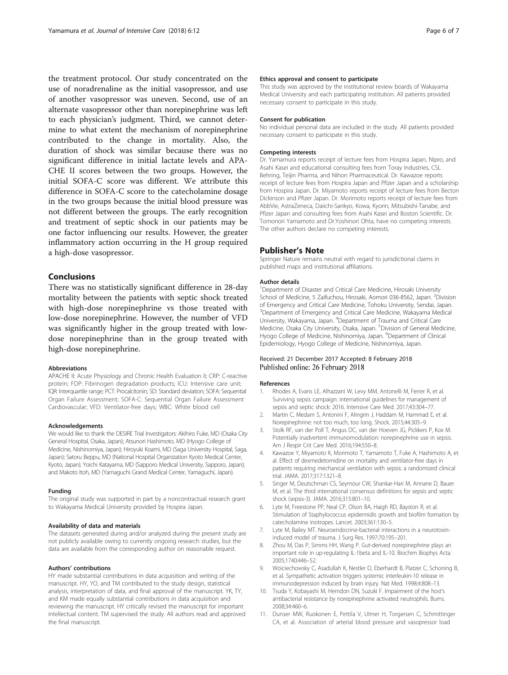<span id="page-5-0"></span>the treatment protocol. Our study concentrated on the use of noradrenaline as the initial vasopressor, and use of another vasopressor was uneven. Second, use of an alternate vasopressor other than norepinephrine was left to each physician's judgment. Third, we cannot determine to what extent the mechanism of norepinephrine contributed to the change in mortality. Also, the duration of shock was similar because there was no significant difference in initial lactate levels and APA-CHE II scores between the two groups. However, the initial SOFA-C score was different. We attribute this difference in SOFA-C score to the catecholamine dosage in the two groups because the initial blood pressure was not different between the groups. The early recognition and treatment of septic shock in our patients may be one factor influencing our results. However, the greater inflammatory action occurring in the H group required a high-dose vasopressor.

## Conclusions

There was no statistically significant difference in 28-day mortality between the patients with septic shock treated with high-dose norepinephrine vs those treated with low-dose norepinephrine. However, the number of VFD was significantly higher in the group treated with lowdose norepinephrine than in the group treated with high-dose norepinephrine.

#### Abbreviations

APACHE II: Acute Physiology and Chronic Health Evaluation II; CRP: C-reactive protein; FDP: Fibrinogen degradation products; ICU: Intensive care unit; IQR: Interquartile range; PCT: Procalcitonin; SD: Standard deviation; SOFA: Sequential Organ Failure Assessment; SOFA-C: Sequential Organ Failure Assessment Cardiovascular; VFD: Ventilator-free days; WBC: White blood cell

#### Acknowledgements

We would like to thank the DESIRE Trial Investigators: Akihiro Fuke, MD (Osaka City General Hospital, Osaka, Japan); Atsunori Hashimoto, MD (Hyogo College of Medicine, Nishinomiya, Japan); Hiroyuki Koami, MD (Saga University Hospital, Saga, Japan); Satoru Beppu, MD (National Hospital Organization Kyoto Medical Center, Kyoto, Japan); Yoichi Katayama, MD (Sapporo Medical University, Sapporo, Japan); and Makoto Itoh, MD (Yamaguchi Grand Medical Center, Yamaguchi, Japan).

#### Funding

The original study was supported in part by a noncontractual research grant to Wakayama Medical University provided by Hospira Japan.

#### Availability of data and materials

The datasets generated during and/or analyzed during the present study are not publicly available owing to currently ongoing research studies, but the data are available from the corresponding author on reasonable request.

#### Authors' contributions

HY made substantial contributions in data acquisition and writing of the manuscript. HY, YO, and TM contributed to the study design, statistical analysis, interpretation of data, and final approval of the manuscript. YK, TY, and KM made equally substantial contributions in data acquisition and reviewing the manuscript. HY critically revised the manuscript for important intellectual content. TM supervised the study. All authors read and approved the final manuscript.

#### Ethics approval and consent to participate

This study was approved by the institutional review boards of Wakayama Medical University and each participating institution. All patients provided necessary consent to participate in this study.

#### Consent for publication

No individual personal data are included in the study. All patients provided necessary consent to participate in this study.

#### Competing interests

Dr. Yamamura reports receipt of lecture fees from Hospira Japan, Nipro, and Asahi Kasei and educational consulting fees from Toray Industries, CSL Behring, Teijin Pharma, and Nihon Pharmaceutical. Dr. Kawazoe reports receipt of lecture fees from Hospira Japan and Pfizer Japan and a scholarship from Hospira Japan. Dr. Miyamoto reports receipt of lecture fees from Becton Dickinson and Pfizer Japan. Dr. Morimoto reports receipt of lecture fees from AbbVie, AstraZeneca, Daiichi-Sankyo, Kowa, Kyorin, Mitsubishi-Tanabe, and Pfizer Japan and consulting fees from Asahi Kasei and Boston Scientific. Dr. Tomonori Yamamoto and Dr.Yoshinori Ohta, have no competing interests. The other authors declare no competing interests.

#### Publisher's Note

Springer Nature remains neutral with regard to jurisdictional claims in published maps and institutional affiliations.

#### Author details

<sup>1</sup>Department of Disaster and Critical Care Medicine, Hirosaki University School of Medicine, 5 Zaifuchou, Hirosaki, Aomori 036-8562, Japan. <sup>2</sup>Division of Emergency and Critical Care Medicine, Tohoku University, Sendai, Japan. <sup>3</sup>Department of Emergency and Critical Care Medicine, Wakayama Medical University, Wakayama, Japan. <sup>4</sup> Department of Trauma and Critical Care Medicine, Osaka City University, Osaka, Japan. <sup>5</sup> Division of General Medicine Hyogo College of Medicine, Nishinomiya, Japan. <sup>6</sup>Department of Clinical Epidemiology, Hyogo College of Medicine, Nishinomiya, Japan.

## Received: 21 December 2017 Accepted: 8 February 2018 Published online: 26 February 2018

#### References

- 1. Rhodes A, Evans LE, Alhazzani W, Levy MM, Antonelli M, Ferrer R, et al. Surviving sepsis campaign: international guidelines for management of sepsis and septic shock: 2016. Intensive Care Med. 2017;43:304–77.
- 2. Martin C, Medam S, Antonini F, Alingrin J, Haddam M, Hammad E, et al. Norepinephrine: not too much, too long. Shock. 2015;44:305–9.
- 3. Stolk RF, van der Poll T, Angus DC, van der Hoeven JG, Pickkers P, Kox M. Potentially inadvertent immunomodulation: norepinephrine use in sepsis. Am J Respir Crit Care Med. 2016;194:550–8.
- 4. Kawazoe Y, Miyamoto K, Morimoto T, Yamamoto T, Fuke A, Hashimoto A, et al. Effect of dexmedetomidine on mortality and ventilator-free days in patients requiring mechanical ventilation with sepsis: a randomized clinical trial. JAMA. 2017;317:1321–8.
- 5. Singer M, Deutschman CS, Seymour CW, Shankar-Hari M, Annane D, Bauer M, et al. The third international consensus definitions for sepsis and septic shock (sepsis-3). JAMA. 2016;315:801–10.
- 6. Lyte M, Freestone PP, Neal CP, Olson BA, Haigh RD, Bayston R, et al. Stimulation of Staphylococcus epidermidis growth and biofilm formation by catecholamine inotropes. Lancet. 2003;361:130–5.
- 7. Lyte M, Bailey MT. Neuroendocrine-bacterial interactions in a neurotoxininduced model of trauma. J Surg Res. 1997;70:195–201.
- 8. Zhou M, Das P, Simms HH, Wang P. Gut-derived norepinephrine plays an important role in up-regulating IL-1beta and IL-10. Biochim Biophys Acta. 2005;1740:446–52.
- 9. Woiciechowsky C, Asadullah K, Nestler D, Eberhardt B, Platzer C, Schoning B, et al. Sympathetic activation triggers systemic interleukin-10 release in immunodepression induced by brain injury. Nat Med. 1998;4:808–13.
- 10. Tsuda Y, Kobayashi M, Herndon DN, Suzuki F. Impairment of the host's antibacterial resistance by norepinephrine activated neutrophils. Burns. 2008;34:460–6.
- 11. Dunser MW, Ruokonen E, Pettila V, Ulmer H, Torgersen C, Schmittinger CA, et al. Association of arterial blood pressure and vasopressor load